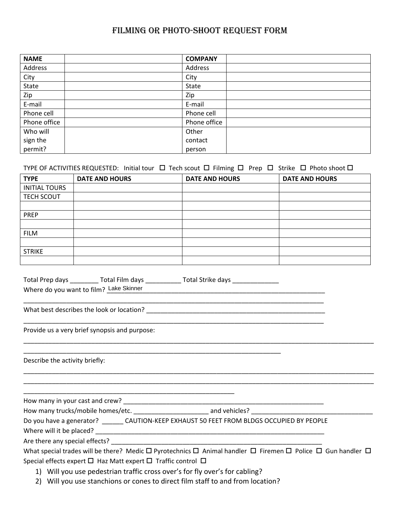## FILMING or photo-shoot request FORM

| <b>NAME</b>  | <b>COMPANY</b> |
|--------------|----------------|
| Address      | Address        |
| City         | City           |
| State        | State          |
| Zip          | Zip            |
| E-mail       | E-mail         |
| Phone cell   | Phone cell     |
| Phone office | Phone office   |
| Who will     | Other          |
| sign the     | contact        |
| permit?      | person         |

## TYPE OF ACTIVITIES REQUESTED: Initial tour  $\Box$  Tech scout  $\Box$  Filming  $\Box$  Prep  $\Box$  Strike  $\Box$  Photo shoot  $\Box$

| <b>TYPE</b>          | <b>DATE AND HOURS</b> | <b>DATE AND HOURS</b> | <b>DATE AND HOURS</b> |
|----------------------|-----------------------|-----------------------|-----------------------|
| <b>INITIAL TOURS</b> |                       |                       |                       |
| <b>TECH SCOUT</b>    |                       |                       |                       |
|                      |                       |                       |                       |
| <b>PREP</b>          |                       |                       |                       |
|                      |                       |                       |                       |
| <b>FILM</b>          |                       |                       |                       |
|                      |                       |                       |                       |
| <b>STRIKE</b>        |                       |                       |                       |
|                      |                       |                       |                       |

| Total Prep days                         | Total Film days | Total Strike days |
|-----------------------------------------|-----------------|-------------------|
| Where do you want to film? Lake Skinner |                 |                   |

\_\_\_\_\_\_\_\_\_\_\_\_\_\_\_\_\_\_\_\_\_\_\_\_\_\_\_\_\_\_\_\_\_\_\_\_\_\_\_\_\_\_\_\_\_\_\_\_\_\_\_\_\_\_\_\_\_\_\_\_\_\_\_\_\_\_\_\_\_\_\_\_

What best describes the look or location? \_\_\_\_\_\_\_\_\_\_\_\_\_\_\_\_\_\_\_\_\_\_\_\_\_\_\_\_\_\_\_\_\_\_\_\_\_\_\_\_\_\_\_\_\_\_\_\_\_\_

Provide us a very brief synopsis and purpose:

Describe the activity briefly:

How many in your cast and crew? \_\_\_\_\_\_\_\_\_\_\_\_\_\_\_\_\_\_\_\_\_\_\_\_\_\_\_\_\_\_\_\_\_\_\_\_\_\_\_\_\_\_\_\_\_\_\_\_\_\_\_\_\_\_\_\_

How many trucks/mobile homes/etc. \_\_\_\_\_\_\_\_\_\_\_\_\_\_\_\_\_\_\_\_\_\_\_\_\_\_\_ and vehicles? \_\_\_\_\_\_\_\_\_\_\_\_\_\_\_\_\_\_\_\_\_\_\_\_\_\_\_\_\_\_\_\_\_\_

\_\_\_\_\_\_\_\_\_\_\_\_\_\_\_\_\_\_\_\_\_\_\_\_\_\_\_\_\_\_\_\_\_\_\_\_\_\_\_\_\_\_\_\_\_\_\_\_\_\_\_\_\_\_\_\_\_\_\_

Do you have a generator? \_\_\_\_\_\_\_ CAUTION-KEEP EXHAUST 50 FEET FROM BLDGS OCCUPIED BY PEOPLE

\_\_\_\_\_\_\_\_\_\_\_\_\_\_\_\_\_\_\_\_\_\_\_\_\_\_\_\_\_\_\_\_\_\_\_\_\_\_\_\_\_\_\_\_\_\_\_\_\_\_\_\_\_\_\_\_\_\_\_\_\_\_\_\_\_\_\_\_\_\_\_\_\_\_\_\_\_\_\_\_\_\_\_\_

Where will it be placed? \_\_\_\_\_\_\_\_\_\_\_\_\_\_\_\_\_\_\_\_\_\_\_\_\_\_\_\_\_\_\_\_\_\_\_\_\_\_\_\_\_\_\_\_\_\_\_\_\_\_\_\_\_\_\_\_\_\_\_\_\_\_\_\_

Are there any special effects? \_\_\_\_\_\_\_\_\_\_\_\_\_\_\_\_\_\_\_\_\_\_\_\_\_\_\_\_\_\_\_\_\_\_\_\_\_\_\_\_\_\_\_\_\_\_\_\_\_\_\_\_\_\_\_\_\_\_\_

| What special trades will be there? Medic $\Box$ Pyrotechnics $\Box$ Animal handler $\Box$ Firemen $\Box$ Police $\Box$ Gun handler $\Box$ |  |  |  |
|-------------------------------------------------------------------------------------------------------------------------------------------|--|--|--|
| Special effects expert $\Box$ Haz Matt expert $\Box$ Traffic control $\Box$                                                               |  |  |  |

\_\_\_\_\_\_\_\_\_\_\_\_\_\_\_\_\_\_\_\_\_\_\_\_\_\_\_\_\_\_\_\_\_\_\_\_\_\_\_\_\_\_\_\_\_\_\_\_\_\_\_\_\_\_\_\_\_\_\_\_\_\_\_\_\_\_\_\_\_\_\_\_\_\_\_\_\_\_\_\_\_\_\_\_\_\_\_\_\_\_\_\_\_\_\_\_\_\_

\_\_\_\_\_\_\_\_\_\_\_\_\_\_\_\_\_\_\_\_\_\_\_\_\_\_\_\_\_\_\_\_\_\_\_\_\_\_\_\_\_\_\_\_\_\_\_\_\_\_\_\_\_\_\_\_\_\_\_\_\_\_\_\_\_\_\_\_\_\_\_\_\_\_\_\_\_\_\_\_\_\_\_\_\_\_\_\_\_\_\_\_\_\_\_\_\_\_ \_\_\_\_\_\_\_\_\_\_\_\_\_\_\_\_\_\_\_\_\_\_\_\_\_\_\_\_\_\_\_\_\_\_\_\_\_\_\_\_\_\_\_\_\_\_\_\_\_\_\_\_\_\_\_\_\_\_\_\_\_\_\_\_\_\_\_\_\_\_\_\_\_\_\_\_\_\_\_\_\_\_\_\_\_\_\_\_\_\_\_\_\_\_\_\_\_\_

- 1) Will you use pedestrian traffic cross over's for fly over's for cabling?
- 2) Will you use stanchions or cones to direct film staff to and from location?